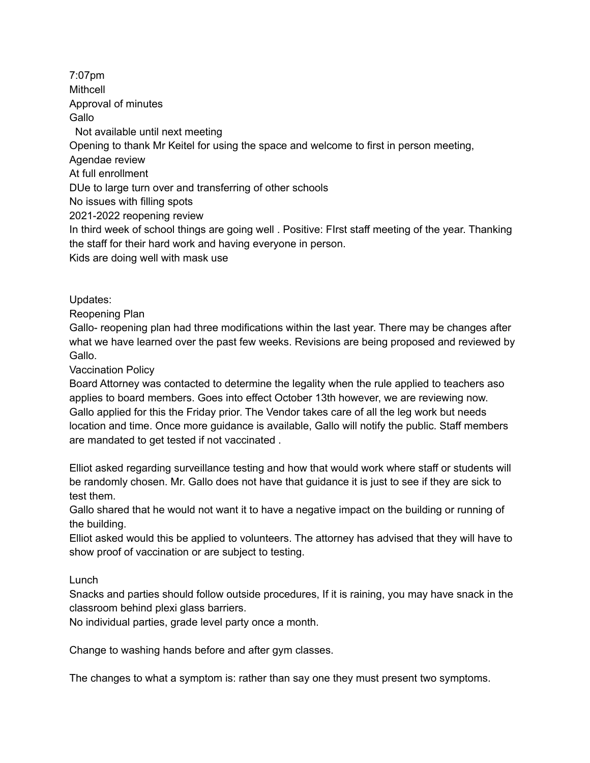7:07pm Mithcell Approval of minutes **Gallo** Not available until next meeting Opening to thank Mr Keitel for using the space and welcome to first in person meeting, Agendae review At full enrollment DUe to large turn over and transferring of other schools No issues with filling spots 2021-2022 reopening review In third week of school things are going well . Positive: FIrst staff meeting of the year. Thanking the staff for their hard work and having everyone in person. Kids are doing well with mask use

Updates:

Reopening Plan

Gallo- reopening plan had three modifications within the last year. There may be changes after what we have learned over the past few weeks. Revisions are being proposed and reviewed by Gallo.

Vaccination Policy

Board Attorney was contacted to determine the legality when the rule applied to teachers aso applies to board members. Goes into effect October 13th however, we are reviewing now. Gallo applied for this the Friday prior. The Vendor takes care of all the leg work but needs location and time. Once more guidance is available, Gallo will notify the public. Staff members are mandated to get tested if not vaccinated .

Elliot asked regarding surveillance testing and how that would work where staff or students will be randomly chosen. Mr. Gallo does not have that guidance it is just to see if they are sick to test them.

Gallo shared that he would not want it to have a negative impact on the building or running of the building.

Elliot asked would this be applied to volunteers. The attorney has advised that they will have to show proof of vaccination or are subject to testing.

Lunch

Snacks and parties should follow outside procedures, If it is raining, you may have snack in the classroom behind plexi glass barriers.

No individual parties, grade level party once a month.

Change to washing hands before and after gym classes.

The changes to what a symptom is: rather than say one they must present two symptoms.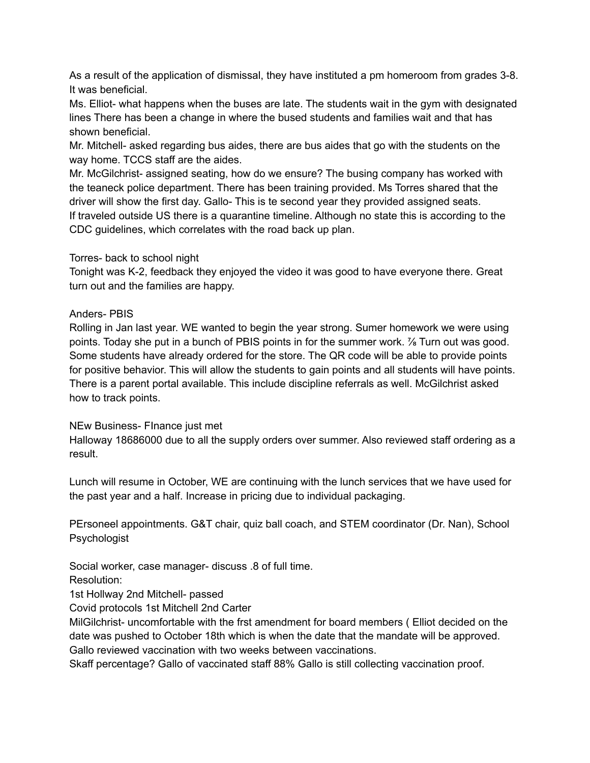As a result of the application of dismissal, they have instituted a pm homeroom from grades 3-8. It was beneficial.

Ms. Elliot- what happens when the buses are late. The students wait in the gym with designated lines There has been a change in where the bused students and families wait and that has shown beneficial.

Mr. Mitchell- asked regarding bus aides, there are bus aides that go with the students on the way home. TCCS staff are the aides.

Mr. McGilchrist- assigned seating, how do we ensure? The busing company has worked with the teaneck police department. There has been training provided. Ms Torres shared that the driver will show the first day. Gallo- This is te second year they provided assigned seats. If traveled outside US there is a quarantine timeline. Although no state this is according to the CDC guidelines, which correlates with the road back up plan.

## Torres- back to school night

Tonight was K-2, feedback they enjoyed the video it was good to have everyone there. Great turn out and the families are happy.

## Anders- PBIS

Rolling in Jan last year. WE wanted to begin the year strong. Sumer homework we were using points. Today she put in a bunch of PBIS points in for the summer work. <sup>7</sup> Turn out was good. Some students have already ordered for the store. The QR code will be able to provide points for positive behavior. This will allow the students to gain points and all students will have points. There is a parent portal available. This include discipline referrals as well. McGilchrist asked how to track points.

## NEw Business- FInance just met

Halloway 18686000 due to all the supply orders over summer. Also reviewed staff ordering as a result.

Lunch will resume in October, WE are continuing with the lunch services that we have used for the past year and a half. Increase in pricing due to individual packaging.

PErsoneel appointments. G&T chair, quiz ball coach, and STEM coordinator (Dr. Nan), School Psychologist

Social worker, case manager- discuss .8 of full time.

Resolution:

1st Hollway 2nd Mitchell- passed

Covid protocols 1st Mitchell 2nd Carter

MilGilchrist- uncomfortable with the frst amendment for board members ( Elliot decided on the date was pushed to October 18th which is when the date that the mandate will be approved. Gallo reviewed vaccination with two weeks between vaccinations.

Skaff percentage? Gallo of vaccinated staff 88% Gallo is still collecting vaccination proof.